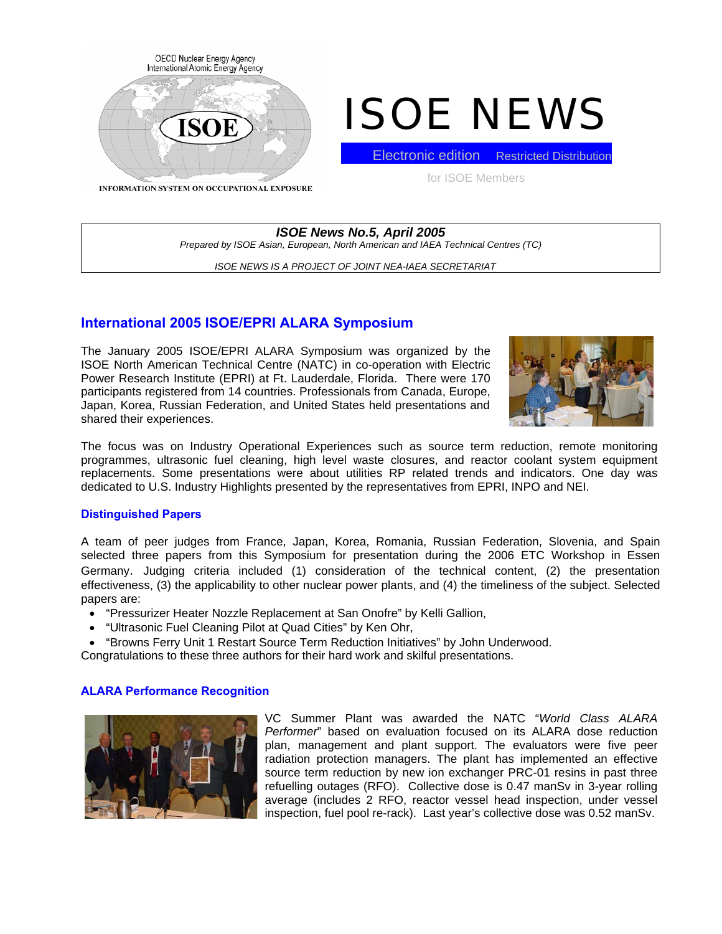

# ISOE NEWS

INFORMATION SYSTEM ON OCCUPATIONAL EXPOSURE

for ISOE Members

**Electronic edition** Restricted Distribution

*ISOE News No.5, April 2005 Prepared by ISOE Asian, European, North American and IAEA Technical Centres (TC)* 

*ISOE NEWS IS A PROJECT OF JOINT NEA-IAEA SECRETARIAT* 

## **International 2005 ISOE/EPRI ALARA Symposium**

The January 2005 ISOE/EPRI ALARA Symposium was organized by the ISOE North American Technical Centre (NATC) in co-operation with Electric Power Research Institute (EPRI) at Ft. Lauderdale, Florida. There were 170 participants registered from 14 countries. Professionals from Canada, Europe, Japan, Korea, Russian Federation, and United States held presentations and shared their experiences.



The focus was on Industry Operational Experiences such as source term reduction, remote monitoring programmes, ultrasonic fuel cleaning, high level waste closures, and reactor coolant system equipment replacements. Some presentations were about utilities RP related trends and indicators. One day was dedicated to U.S. Industry Highlights presented by the representatives from EPRI, INPO and NEI.

## **Distinguished Papers**

A team of peer judges from France, Japan, Korea, Romania, Russian Federation, Slovenia, and Spain selected three papers from this Symposium for presentation during the 2006 ETC Workshop in Essen Germany. Judging criteria included (1) consideration of the technical content, (2) the presentation effectiveness, (3) the applicability to other nuclear power plants, and (4) the timeliness of the subject. Selected papers are:

- "Pressurizer Heater Nozzle Replacement at San Onofre" by Kelli Gallion,
- "Ultrasonic Fuel Cleaning Pilot at Quad Cities" by Ken Ohr,
- "Browns Ferry Unit 1 Restart Source Term Reduction Initiatives" by John Underwood.
- Congratulations to these three authors for their hard work and skilful presentations.

## **ALARA Performance Recognition**



VC Summer Plant was awarded the NATC "*World Class ALARA Performer*" based on evaluation focused on its ALARA dose reduction plan, management and plant support. The evaluators were five peer radiation protection managers. The plant has implemented an effective source term reduction by new ion exchanger PRC-01 resins in past three refuelling outages (RFO). Collective dose is 0.47 manSv in 3-year rolling average (includes 2 RFO, reactor vessel head inspection, under vessel inspection, fuel pool re-rack). Last year's collective dose was 0.52 manSv.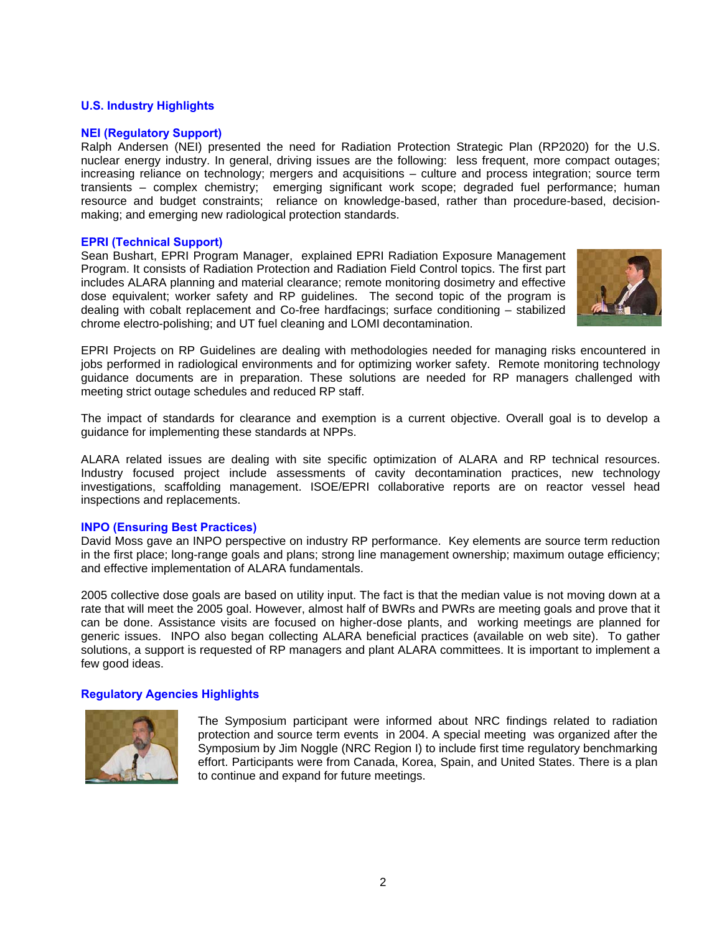## **U.S. Industry Highlights**

## **NEI (Regulatory Support)**

Ralph Andersen (NEI) presented the need for Radiation Protection Strategic Plan (RP2020) for the U.S. nuclear energy industry. In general, driving issues are the following: less frequent, more compact outages; increasing reliance on technology; mergers and acquisitions – culture and process integration; source term transients – complex chemistry; emerging significant work scope; degraded fuel performance; human resource and budget constraints; reliance on knowledge-based, rather than procedure-based, decisionmaking; and emerging new radiological protection standards.

## **EPRI (Technical Support)**

Sean Bushart, EPRI Program Manager, explained EPRI Radiation Exposure Management Program. It consists of Radiation Protection and Radiation Field Control topics. The first part includes ALARA planning and material clearance; remote monitoring dosimetry and effective dose equivalent; worker safety and RP guidelines. The second topic of the program is dealing with cobalt replacement and Co-free hardfacings; surface conditioning – stabilized chrome electro-polishing; and UT fuel cleaning and LOMI decontamination.



EPRI Projects on RP Guidelines are dealing with methodologies needed for managing risks encountered in jobs performed in radiological environments and for optimizing worker safety. Remote monitoring technology guidance documents are in preparation. These solutions are needed for RP managers challenged with meeting strict outage schedules and reduced RP staff.

The impact of standards for clearance and exemption is a current objective. Overall goal is to develop a guidance for implementing these standards at NPPs.

ALARA related issues are dealing with site specific optimization of ALARA and RP technical resources. Industry focused project include assessments of cavity decontamination practices, new technology investigations, scaffolding management. ISOE/EPRI collaborative reports are on reactor vessel head inspections and replacements.

## **INPO (Ensuring Best Practices)**

David Moss gave an INPO perspective on industry RP performance. Key elements are source term reduction in the first place; long-range goals and plans; strong line management ownership; maximum outage efficiency; and effective implementation of ALARA fundamentals.

2005 collective dose goals are based on utility input. The fact is that the median value is not moving down at a rate that will meet the 2005 goal. However, almost half of BWRs and PWRs are meeting goals and prove that it can be done. Assistance visits are focused on higher-dose plants, and working meetings are planned for generic issues. INPO also began collecting ALARA beneficial practices (available on web site). To gather solutions, a support is requested of RP managers and plant ALARA committees. It is important to implement a few good ideas.

## **Regulatory Agencies Highlights**



The Symposium participant were informed about NRC findings related to radiation protection and source term events in 2004. A special meeting was organized after the Symposium by Jim Noggle (NRC Region I) to include first time regulatory benchmarking effort. Participants were from Canada, Korea, Spain, and United States. There is a plan to continue and expand for future meetings.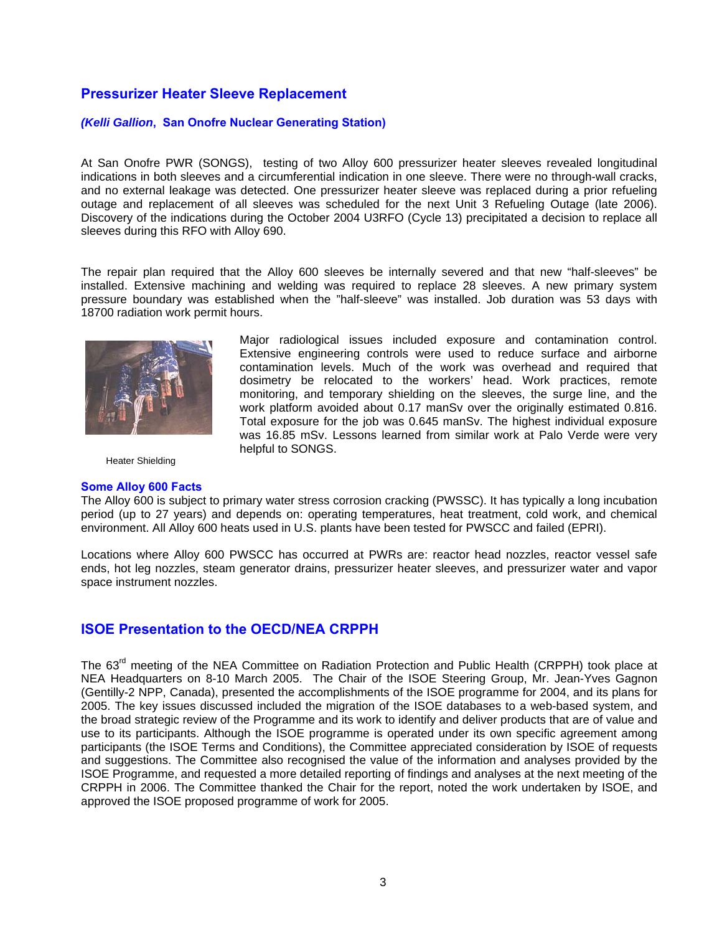## **Pressurizer Heater Sleeve Replacement**

## *(Kelli Gallion***, San Onofre Nuclear Generating Station)**

At San Onofre PWR (SONGS), testing of two Alloy 600 pressurizer heater sleeves revealed longitudinal indications in both sleeves and a circumferential indication in one sleeve. There were no through-wall cracks, and no external leakage was detected. One pressurizer heater sleeve was replaced during a prior refueling outage and replacement of all sleeves was scheduled for the next Unit 3 Refueling Outage (late 2006). Discovery of the indications during the October 2004 U3RFO (Cycle 13) precipitated a decision to replace all sleeves during this RFO with Alloy 690.

The repair plan required that the Alloy 600 sleeves be internally severed and that new "half-sleeves" be installed. Extensive machining and welding was required to replace 28 sleeves. A new primary system pressure boundary was established when the "half-sleeve" was installed. Job duration was 53 days with 18700 radiation work permit hours.



Heater Shielding

#### **Some Alloy 600 Facts**

Major radiological issues included exposure and contamination control. Extensive engineering controls were used to reduce surface and airborne contamination levels. Much of the work was overhead and required that dosimetry be relocated to the workers' head. Work practices, remote monitoring, and temporary shielding on the sleeves, the surge line, and the work platform avoided about 0.17 manSv over the originally estimated 0.816. Total exposure for the job was 0.645 manSv. The highest individual exposure was 16.85 mSv. Lessons learned from similar work at Palo Verde were very helpful to SONGS.

The Alloy 600 is subject to primary water stress corrosion cracking (PWSSC). It has typically a long incubation period (up to 27 years) and depends on: operating temperatures, heat treatment, cold work, and chemical environment. All Alloy 600 heats used in U.S. plants have been tested for PWSCC and failed (EPRI).

Locations where Alloy 600 PWSCC has occurred at PWRs are: reactor head nozzles, reactor vessel safe ends, hot leg nozzles, steam generator drains, pressurizer heater sleeves, and pressurizer water and vapor space instrument nozzles.

# **ISOE Presentation to the OECD/NEA CRPPH**

The 63<sup>rd</sup> meeting of the NEA Committee on Radiation Protection and Public Health (CRPPH) took place at NEA Headquarters on 8-10 March 2005. The Chair of the ISOE Steering Group, Mr. Jean-Yves Gagnon (Gentilly-2 NPP, Canada), presented the accomplishments of the ISOE programme for 2004, and its plans for 2005. The key issues discussed included the migration of the ISOE databases to a web-based system, and the broad strategic review of the Programme and its work to identify and deliver products that are of value and use to its participants. Although the ISOE programme is operated under its own specific agreement among participants (the ISOE Terms and Conditions), the Committee appreciated consideration by ISOE of requests and suggestions. The Committee also recognised the value of the information and analyses provided by the ISOE Programme, and requested a more detailed reporting of findings and analyses at the next meeting of the CRPPH in 2006. The Committee thanked the Chair for the report, noted the work undertaken by ISOE, and approved the ISOE proposed programme of work for 2005.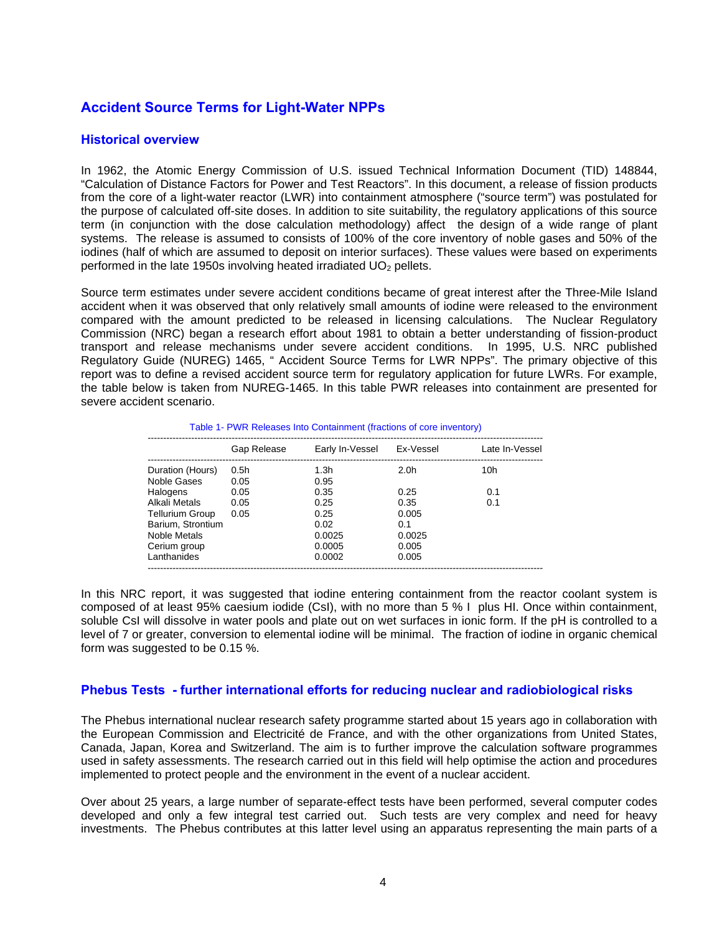# **Accident Source Terms for Light-Water NPPs**

## **Historical overview**

In 1962, the Atomic Energy Commission of U.S. issued Technical Information Document (TID) 148844, "Calculation of Distance Factors for Power and Test Reactors". In this document, a release of fission products from the core of a light-water reactor (LWR) into containment atmosphere ("source term") was postulated for the purpose of calculated off-site doses. In addition to site suitability, the regulatory applications of this source term (in conjunction with the dose calculation methodology) affect the design of a wide range of plant systems. The release is assumed to consists of 100% of the core inventory of noble gases and 50% of the iodines (half of which are assumed to deposit on interior surfaces). These values were based on experiments performed in the late 1950s involving heated irradiated  $UO<sub>2</sub>$  pellets.

Source term estimates under severe accident conditions became of great interest after the Three-Mile Island accident when it was observed that only relatively small amounts of iodine were released to the environment compared with the amount predicted to be released in licensing calculations. The Nuclear Regulatory Commission (NRC) began a research effort about 1981 to obtain a better understanding of fission-product transport and release mechanisms under severe accident conditions. In 1995, U.S. NRC published Regulatory Guide (NUREG) 1465, " Accident Source Terms for LWR NPPs". The primary objective of this report was to define a revised accident source term for regulatory application for future LWRs. For example, the table below is taken from NUREG-1465. In this table PWR releases into containment are presented for severe accident scenario.

| Table 1- PWR Releases Into Containment (fractions of core inventory) |  |
|----------------------------------------------------------------------|--|
|----------------------------------------------------------------------|--|

|                   | Gap Release | Early In-Vessel  | Ex-Vessel        | Late In-Vessel |
|-------------------|-------------|------------------|------------------|----------------|
| Duration (Hours)  | 0.5h        | 1.3 <sub>h</sub> | 2.0 <sub>h</sub> | 10h            |
| Noble Gases       | 0.05        | 0.95             |                  |                |
| Halogens          | 0.05        | 0.35             | 0.25             | 0.1            |
| Alkali Metals     | 0.05        | 0.25             | 0.35             | 0.1            |
| Tellurium Group   | 0.05        | 0.25             | 0.005            |                |
| Barium, Strontium |             | 0.02             | 0.1              |                |
| Noble Metals      |             | 0.0025           | 0.0025           |                |
| Cerium group      |             | 0.0005           | 0.005            |                |
| Lanthanides       |             | 0.0002           | 0.005            |                |

In this NRC report, it was suggested that iodine entering containment from the reactor coolant system is composed of at least 95% caesium iodide (CsI), with no more than 5 % I plus HI. Once within containment, soluble CsI will dissolve in water pools and plate out on wet surfaces in ionic form. If the pH is controlled to a level of 7 or greater, conversion to elemental iodine will be minimal. The fraction of iodine in organic chemical form was suggested to be 0.15 %.

## **Phebus Tests - further international efforts for reducing nuclear and radiobiological risks**

The Phebus international nuclear research safety programme started about 15 years ago in collaboration with the European Commission and Electricité de France, and with the other organizations from United States, Canada, Japan, Korea and Switzerland. The aim is to further improve the calculation software programmes used in safety assessments. The research carried out in this field will help optimise the action and procedures implemented to protect people and the environment in the event of a nuclear accident.

Over about 25 years, a large number of separate-effect tests have been performed, several computer codes developed and only a few integral test carried out. Such tests are very complex and need for heavy investments. The Phebus contributes at this latter level using an apparatus representing the main parts of a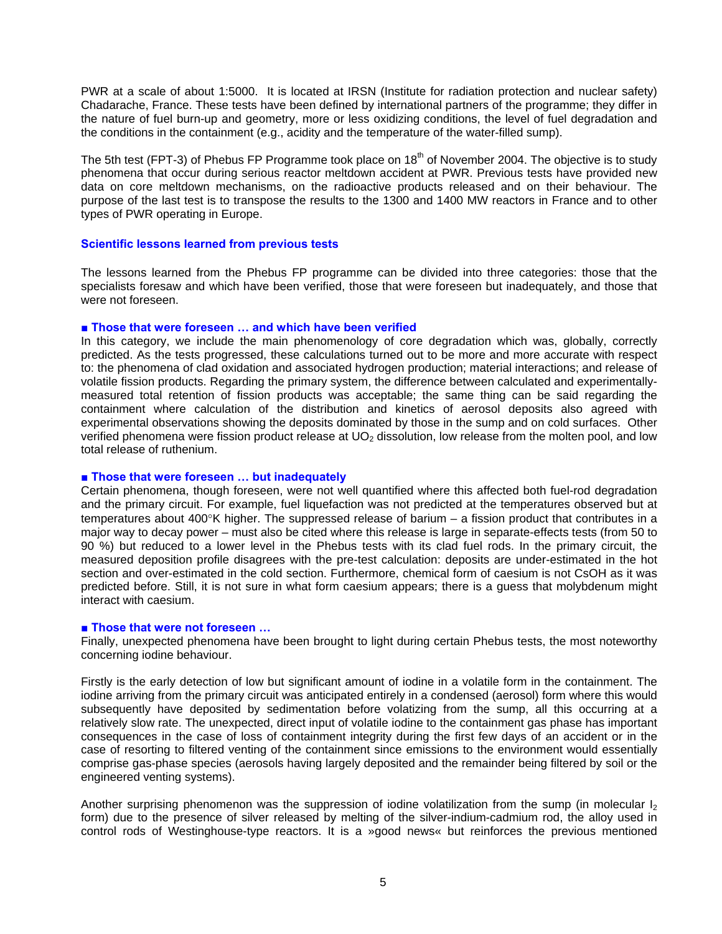PWR at a scale of about 1:5000. It is located at IRSN (Institute for radiation protection and nuclear safety) Chadarache, France. These tests have been defined by international partners of the programme; they differ in the nature of fuel burn-up and geometry, more or less oxidizing conditions, the level of fuel degradation and the conditions in the containment (e.g., acidity and the temperature of the water-filled sump).

The 5th test (FPT-3) of Phebus FP Programme took place on 18<sup>th</sup> of November 2004. The objective is to study phenomena that occur during serious reactor meltdown accident at PWR. Previous tests have provided new data on core meltdown mechanisms, on the radioactive products released and on their behaviour. The purpose of the last test is to transpose the results to the 1300 and 1400 MW reactors in France and to other types of PWR operating in Europe.

### **Scientific lessons learned from previous tests**

The lessons learned from the Phebus FP programme can be divided into three categories: those that the specialists foresaw and which have been verified, those that were foreseen but inadequately, and those that were not foreseen.

### ■ **Those that were foreseen ... and which have been verified**

In this category, we include the main phenomenology of core degradation which was, globally, correctly predicted. As the tests progressed, these calculations turned out to be more and more accurate with respect to: the phenomena of clad oxidation and associated hydrogen production; material interactions; and release of volatile fission products. Regarding the primary system, the difference between calculated and experimentallymeasured total retention of fission products was acceptable; the same thing can be said regarding the containment where calculation of the distribution and kinetics of aerosol deposits also agreed with experimental observations showing the deposits dominated by those in the sump and on cold surfaces. Other verified phenomena were fission product release at UO<sub>2</sub> dissolution, low release from the molten pool, and low total release of ruthenium.

## ■ **Those that were foreseen ... but inadequately**

Certain phenomena, though foreseen, were not well quantified where this affected both fuel-rod degradation and the primary circuit. For example, fuel liquefaction was not predicted at the temperatures observed but at temperatures about 400°K higher. The suppressed release of barium – a fission product that contributes in a major way to decay power – must also be cited where this release is large in separate-effects tests (from 50 to 90 %) but reduced to a lower level in the Phebus tests with its clad fuel rods. In the primary circuit, the measured deposition profile disagrees with the pre-test calculation: deposits are under-estimated in the hot section and over-estimated in the cold section. Furthermore, chemical form of caesium is not CsOH as it was predicted before. Still, it is not sure in what form caesium appears; there is a guess that molybdenum might interact with caesium.

#### ■ **Those that were not foreseen** ...

Finally, unexpected phenomena have been brought to light during certain Phebus tests, the most noteworthy concerning iodine behaviour.

Firstly is the early detection of low but significant amount of iodine in a volatile form in the containment. The iodine arriving from the primary circuit was anticipated entirely in a condensed (aerosol) form where this would subsequently have deposited by sedimentation before volatizing from the sump, all this occurring at a relatively slow rate. The unexpected, direct input of volatile iodine to the containment gas phase has important consequences in the case of loss of containment integrity during the first few days of an accident or in the case of resorting to filtered venting of the containment since emissions to the environment would essentially comprise gas-phase species (aerosols having largely deposited and the remainder being filtered by soil or the engineered venting systems).

Another surprising phenomenon was the suppression of iodine volatilization from the sump (in molecular I<sub>2</sub> form) due to the presence of silver released by melting of the silver-indium-cadmium rod, the alloy used in control rods of Westinghouse-type reactors. It is a »good news« but reinforces the previous mentioned